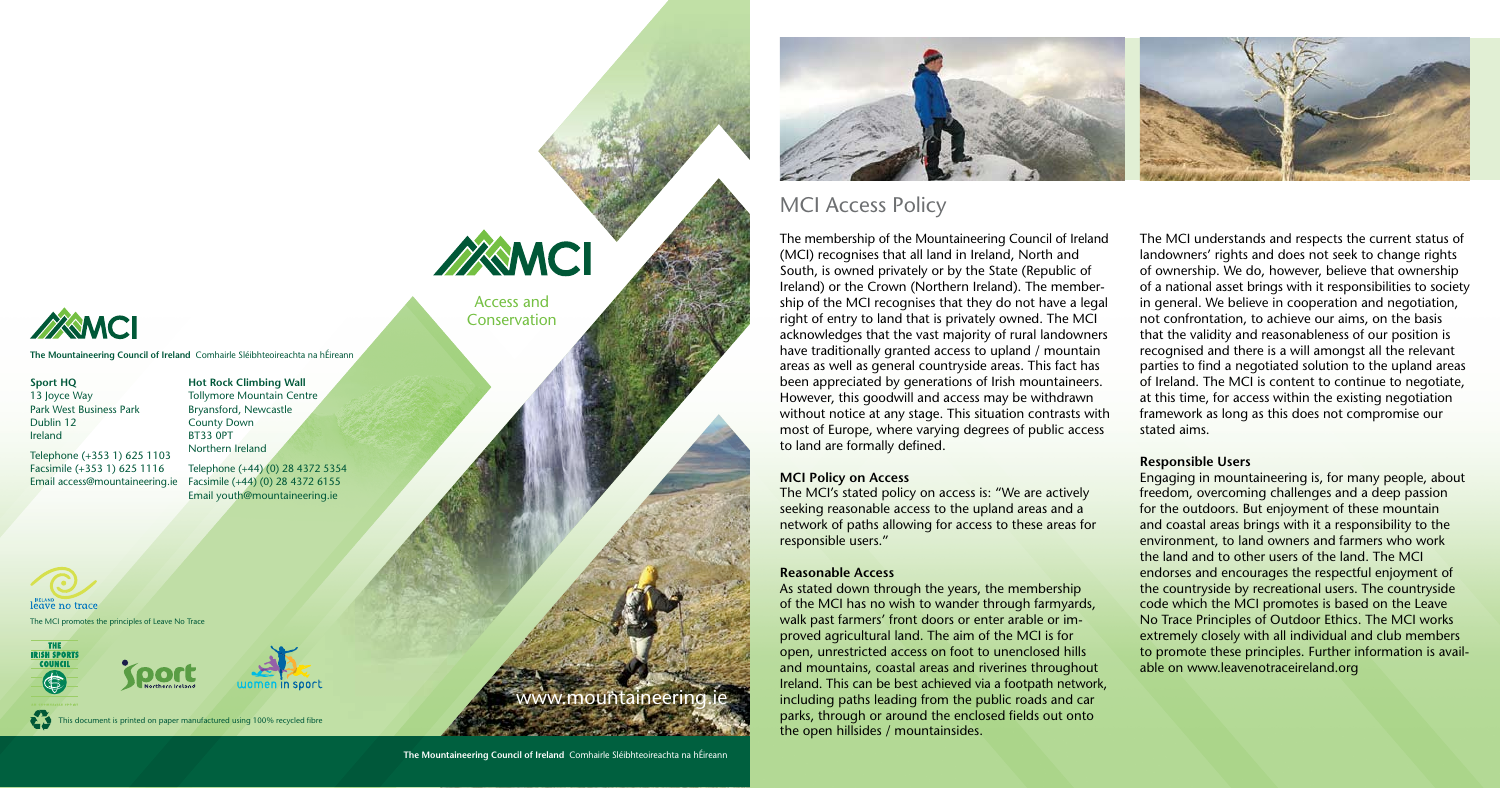**Sport HQ** 13 Joyce Way Park West Business Park Dublin 12 Ireland

**Hot Rock Climbing Wall** Tollymore Mountain Centre

Telephone (+353 1) 625 1103 Facsimile (+353 1) 625 1116 Email access@mountaineering.ie Facsimile (+44) (0) 28 4372 6155

Bryansford, Newcastle County Down BT33 0PT Northern Ireland Telephone (+44) (0) 28 4372 5354

Email youth@mountaineering.ie

## www.mountaineering.ie



## MCI Access Policy

The membership of the Mountaineering Council of Ireland (MCI) recognises that all land in Ireland, North and South, is owned privately or by the State (Republic of Ireland) or the Crown (Northern Ireland). The membership of the MCI recognises that they do not have a legal right of entry to land that is privately owned. The MCI acknowledges that the vast majority of rural landowners have traditionally granted access to upland / mountain areas as well as general countryside areas. This fact has been appreciated by generations of Irish mountaineers. However, this goodwill and access may be withdrawn without notice at any stage. This situation contrasts with most of Europe, where varying degrees of public access to land are formally defined.

### **MCI Policy on Access**

The MCI's stated policy on access is: "We are actively seeking reasonable access to the upland areas and a network of paths allowing for access to these areas for responsible users."

### **Reasonable Access**

**leave no trace** The MCI promotes the principles of Leave No Trace





This document is printed on paper manufactured using 100% recycled fibre

# WAMCI Access and

**Conservation** 

As stated down through the years, the membership of the MCI has no wish to wander through farmyards, walk past farmers' front doors or enter arable or improved agricultural land. The aim of the MCI is for open, unrestricted access on foot to unenclosed hills and mountains, coastal areas and riverines throughout Ireland. This can be best achieved via a footpath network, including paths leading from the public roads and car parks, through or around the enclosed fields out onto the open hillsides / mountainsides.

The MCI understands and respects the current status of landowners' rights and does not seek to change rights of ownership. We do, however, believe that ownership of a national asset brings with it responsibilities to society in general. We believe in cooperation and negotiation, not confrontation, to achieve our aims, on the basis that the validity and reasonableness of our position is recognised and there is a will amongst all the relevant parties to find a negotiated solution to the upland areas of Ireland. The MCI is content to continue to negotiate, at this time, for access within the existing negotiation framework as long as this does not compromise our

stated aims.



#### **Responsible Users**

Engaging in mountaineering is, for many people, about freedom, overcoming challenges and a deep passion for the outdoors. But enjoyment of these mountain and coastal areas brings with it a responsibility to the environment, to land owners and farmers who work the land and to other users of the land. The MCI endorses and encourages the respectful enjoyment of the countryside by recreational users. The countryside code which the MCI promotes is based on the Leave No Trace Principles of Outdoor Ethics. The MCI works extremely closely with all individual and club members to promote these principles. Further information is available on www.leavenotraceireland.org



**The Mountaineering Council of Ireland** Comhairle Sléibhteoireachta na hÉireann